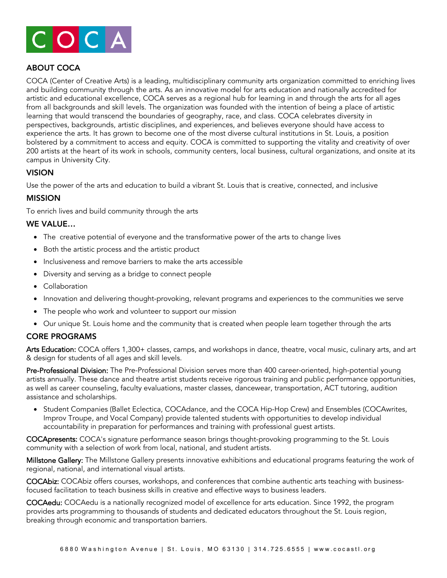

# ABOUT COCA

COCA (Center of Creative Arts) is a leading, multidisciplinary community arts organization committed to enriching lives and building community through the arts. As an innovative model for arts education and nationally accredited for artistic and educational excellence, COCA serves as a regional hub for learning in and through the arts for all ages from all backgrounds and skill levels. The organization was founded with the intention of being a place of artistic learning that would transcend the boundaries of geography, race, and class. COCA celebrates diversity in perspectives, backgrounds, artistic disciplines, and experiences, and believes everyone should have access to experience the arts. It has grown to become one of the most diverse cultural institutions in St. Louis, a position bolstered by a commitment to access and equity. COCA is committed to supporting the vitality and creativity of over 200 artists at the heart of its work in schools, community centers, local business, cultural organizations, and onsite at its campus in University City.

### VISION

Use the power of the arts and education to build a vibrant St. Louis that is creative, connected, and inclusive

#### MISSION

To enrich lives and build community through the arts

#### WE VALUE…

- The creative potential of everyone and the transformative power of the arts to change lives
- Both the artistic process and the artistic product
- Inclusiveness and remove barriers to make the arts accessible
- Diversity and serving as a bridge to connect people
- Collaboration
- Innovation and delivering thought-provoking, relevant programs and experiences to the communities we serve
- The people who work and volunteer to support our mission
- Our unique St. Louis home and the community that is created when people learn together through the arts

## CORE PROGRAMS

Arts Education: COCA offers 1,300+ classes, camps, and workshops in dance, theatre, vocal music, culinary arts, and art & design for students of all ages and skill levels.

Pre-Professional Division: The Pre-Professional Division serves more than 400 career-oriented, high-potential young artists annually. These dance and theatre artist students receive rigorous training and public performance opportunities, as well as career counseling, faculty evaluations, master classes, dancewear, transportation, ACT tutoring, audition assistance and scholarships.

• Student Companies (Ballet Eclectica, COCAdance, and the COCA Hip-Hop Crew) and Ensembles (COCAwrites, Improv Troupe, and Vocal Company) provide talented students with opportunities to develop individual accountability in preparation for performances and training with professional guest artists.

COCApresents: COCA's signature performance season brings thought-provoking programming to the St. Louis community with a selection of work from local, national, and student artists.

Millstone Gallery: The Millstone Gallery presents innovative exhibitions and educational programs featuring the work of regional, national, and international visual artists.

COCAbiz: COCAbiz offers courses, workshops, and conferences that combine authentic arts teaching with businessfocused facilitation to teach business skills in creative and effective ways to business leaders.

COCAedu: COCAedu is a nationally recognized model of excellence for arts education. Since 1992, the program provides arts programming to thousands of students and dedicated educators throughout the St. Louis region, breaking through economic and transportation barriers.